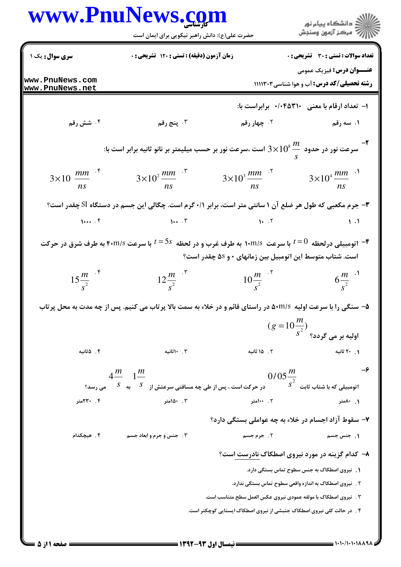|                                    | حضرت علی(ع): دانش راهبر نیکویی برای ایمان است                                                                     |                                                          | ان دانشگاه پيام نور<br>اس مرکز آزمون وسنڊش                                            |
|------------------------------------|-------------------------------------------------------------------------------------------------------------------|----------------------------------------------------------|---------------------------------------------------------------------------------------|
| سری سوال: یک ۱                     | <b>زمان آزمون (دقیقه) : تستی : 120 گشریحی : 0</b>                                                                 |                                                          | <b>تعداد سوالات : تستي : 30 ٪ تشريحي : 0</b>                                          |
| www.PnuNews.com<br>www.PnuNews.net |                                                                                                                   |                                                          | <b>عنـــوان درس:</b> فیزیک عمومی<br><b>رشته تحصیلی/کد درس:</b> آب و هوا شناسی ۱۱۱۱۳۰۳ |
|                                    |                                                                                                                   |                                                          | ۱- تعداد ارقام با معنی ۲۰۴۵۳۱۰ برابراست با:                                           |
| ۰۴ شش رقم                          | ۰۳ پنج رقم                                                                                                        | ۰۲ چهار رقم                                              | ۱. سه رقم                                                                             |
|                                    | سرعت نور در حدود $10^8\frac{m}{-} \approx 3 \times 10^8$ است ،سرعت نور بر حسب میلیمتر بر نانو ثانیه برابر است با: |                                                          |                                                                                       |
| $3\times10 \frac{mm}{ns}$ .*       | $3\times10^2 \frac{mm}{ns}$ .                                                                                     | $3\times10^3 \frac{mm}{ns}$ <sup>17</sup>                | $3 \times 10^{4} \frac{mm}{\ }$ . <sup>1</sup><br>ns                                  |
|                                    | ۳- جرم مکعبی که طول هر ضلع آن ۱ سانتی متر است، برابر ۰/۱ گرم است. چگالی این جسم در دستگاه SI چقدر است؟            |                                                          |                                                                                       |
| 1                                  | $\cdots$                                                                                                          | $\mathbf{1} \cdot \mathbf{1} \cdot \mathbf{1}$           | $\mathcal{N}$ .                                                                       |
|                                    | اتومبیلی درلحظه $t=0$ با سرعت ۱۰m/s به طرف غرب و در لحظه $5s$ با سرعت ۴۰m/s به طرف شرق در حرکت $\blacksquare$     | است. شتاب متوسط این اتومبیل بین زمانهای • و ۵S چقدر است؟ |                                                                                       |
| $15 \frac{m}{s^2}$ <sup>+</sup>    | $12\frac{m}{s^2}$                                                                                                 | $10\frac{m}{s^2}$                                        | $6\frac{m}{s^2}$ .                                                                    |
|                                    | ۵- سنگی را با سرعت اولیه  ۵۰m/s در راستای قائم و در خلاء به سمت بالا پرتاب می کنیم. پس از چه مدت به محل پرتاب     |                                                          |                                                                                       |
|                                    |                                                                                                                   |                                                          | $(g = 10 \frac{m}{s^2})$ اولیه بر می گردد؟                                            |
| ۴. ۵ثانیه                          | ۰. ۱۰ثانیه                                                                                                        | ۲. ۱۵ ثانیه                                              | ۰ . ۲۰ ثانیه                                                                          |
|                                    | $4\frac{m}{m}$ $1\frac{m}{m}$                                                                                     | $0/05\frac{m}{2}$                                        | $-\epsilon$                                                                           |
|                                    | در حرکت است ، پس از طی چه مسافتی سرعتش از $S=\frac{S}{\sqrt{S}}$ به $\frac{S}{\sqrt{S}}$ می رسد؟                  |                                                          | $\int s^2$ اتومبیلی که با شتاب ثابت                                                   |
| ۰۴ ۲۳۰متر                          | ۰. ۱۵۰متر                                                                                                         | ۲. ۱۰۰متر                                                | ۰. ۸۰متر                                                                              |
|                                    |                                                                                                                   |                                                          | ۷- سقوط آزاد اجسام در خلاء به چه عواملی بستگی دارد؟                                   |
| ۴ . هیچکدام                        | ۰۳ جنس و جرم و ابعاد جسم                                                                                          | ۲. جرم جسم                                               | ۱. جنس جسم                                                                            |
|                                    |                                                                                                                   |                                                          | ۸- کدام گزینه در مورد نیروی اصطکاک نادرست است؟                                        |
|                                    |                                                                                                                   |                                                          | ۱. گنیروی اصطکاک به جنس سطوح تماس بستگی دارد.                                         |
|                                    |                                                                                                                   |                                                          | ۲ .   نیروی اصطکاک به اندازه واقعی سطوح تماس بستگی ندارد.                             |
|                                    |                                                                                                                   |                                                          | ۳ . ً نیروی اصطکاک با مولفه عمودی نیروی عکس العمل سطح متناسب است.                     |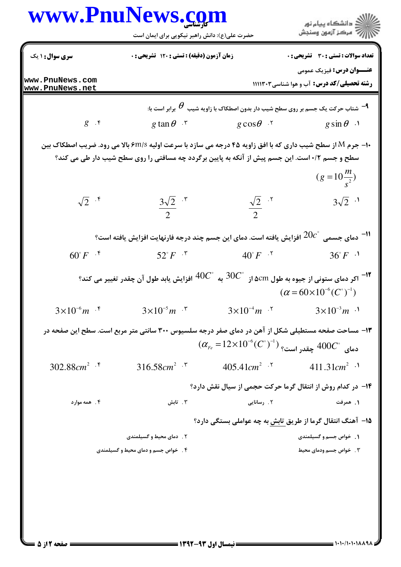| حضرت علی(ع): دانش راهبر نیکویی برای ایمان است<br><b>سری سوال : ۱ یک</b><br>زمان آزمون (دقیقه) : تستی : ۱۲۰ تشریحی : ۰<br>www.PnuNews.com<br>رشته تحصیلی/کد درس: آب و هوا شناسی۳۰۳ اااا<br>www.PnuNews.net<br>شتاب حرکت یک جسم بر روی سطح شیب دار بدون اصطکاک با زاویه شیب $\bm{\theta}$ برابر است با: $^{\rm \bf{q}}$<br>$g$ . $\mathfrak{r}$<br>g tan $\theta$ $\cdot$ $\cdot$<br>$g\cos\theta$ .<br>$g \sin \theta$ ·<br><b>۱۰- جرم M از سطح شیب داری که با افق زاویه ۴۵ درجه می سازد با سرعت اولیه ۶m/s بالا می رود. ضریب اصطکاک بین</b><br>سطح و جسم ۰/۲ است. این جسم پیش از آنکه به پایین برگردد چه مسافتی را روی سطح شیب دار طی می کند؟<br>$(g=10\frac{m}{s^2})$<br>$\sqrt{2}$ . f<br>$rac{3\sqrt{2}}{2}$ .*<br>$3\sqrt{2}$ .<br>$\frac{\sqrt{2}}{2}$ . <sup>5</sup><br>دمای جسمی $20c^{\circ}$ افزایش یافته است. دمای این جسم چند درجه فارنهایت افزایش یافته است $^{\circ}$<br>$60^{\circ}F$ $\cdot$ <sup>*</sup><br>$36^{\circ}F^{-1}$<br>$52^{\circ}F^{-1}$<br>$40^{\circ}F^{-.7}$<br>به $^{9}$ 40 افزایش یابد طول آن چقدر تغییر می کند $^{9}$<br><sup>۱۲ -</sup> اکر دمای ستونی از جیوه به طول ۵cm از<br>$(\alpha = 60 \times 10^{-6} (C^{\circ})^{-1})$<br>$3\times10^{-6}m$ f $3\times10^{-5}m$ f<br>$3 \times 10^{-4} m$ $\cdot$ <sup>5</sup> $3 \times 10^{-3} m$ $\cdot$ <sup>1</sup><br>۱۳- مساحت صفحه مستطیلی شکل از آهن در دمای صفر درجه سلسیوس ۳۰۰ سانتی متر مربع است. سطح این صفحه در<br>$(\alpha_{\scriptscriptstyle Fe} = 12 \times 10^{-6} (C^{\circ})^{-1})$ دمای $400C^{\circ}$ چقدر است؟<br>302.88 $cm^2$ .*<br>316.58 $cm^2$ $\cdot$ $\cdot$<br>$405.41cm^2$ .<br>411.31 $cm2$ .1<br>۱۴- در کدام روش از انتقال گرما حرکت حجمی از سیال نقش دارد؟<br>۰۳ تابش<br>۲. رسانایی<br>۴ . همه موارد<br>۱. همرفت<br><b>۱۵</b> – آهنگ انتقال گرما از طریق تابش به چه عواملی بستگی دارد؟<br>۱. خواص جسم و گسیلمندی<br>۲ .۔ دمای محیط و گسیلمندی<br>۰۳ خواص جسم ودمای محیط<br>۴ . خواص جسم و دمای محیط و گسیلمندی | www.PnuNews.com | ر<br>پر دانشگاه پيام نور<br>پر               |
|--------------------------------------------------------------------------------------------------------------------------------------------------------------------------------------------------------------------------------------------------------------------------------------------------------------------------------------------------------------------------------------------------------------------------------------------------------------------------------------------------------------------------------------------------------------------------------------------------------------------------------------------------------------------------------------------------------------------------------------------------------------------------------------------------------------------------------------------------------------------------------------------------------------------------------------------------------------------------------------------------------------------------------------------------------------------------------------------------------------------------------------------------------------------------------------------------------------------------------------------------------------------------------------------------------------------------------------------------------------------------------------------------------------------------------------------------------------------------------------------------------------------------------------------------------------------------------------------------------------------------------------------------------------------------------------------------------------------------------------------------------------------------------------------------------------------------------------------------------------------------------------------------------------------------------|-----------------|----------------------------------------------|
|                                                                                                                                                                                                                                                                                                                                                                                                                                                                                                                                                                                                                                                                                                                                                                                                                                                                                                                                                                                                                                                                                                                                                                                                                                                                                                                                                                                                                                                                                                                                                                                                                                                                                                                                                                                                                                                                                                                                |                 |                                              |
|                                                                                                                                                                                                                                                                                                                                                                                                                                                                                                                                                                                                                                                                                                                                                                                                                                                                                                                                                                                                                                                                                                                                                                                                                                                                                                                                                                                                                                                                                                                                                                                                                                                                                                                                                                                                                                                                                                                                |                 | <b>تعداد سوالات : تستی : 30 ٪ تشریحی : 0</b> |
|                                                                                                                                                                                                                                                                                                                                                                                                                                                                                                                                                                                                                                                                                                                                                                                                                                                                                                                                                                                                                                                                                                                                                                                                                                                                                                                                                                                                                                                                                                                                                                                                                                                                                                                                                                                                                                                                                                                                |                 | <b>عنــوان درس:</b> فیزیک عمومی              |
|                                                                                                                                                                                                                                                                                                                                                                                                                                                                                                                                                                                                                                                                                                                                                                                                                                                                                                                                                                                                                                                                                                                                                                                                                                                                                                                                                                                                                                                                                                                                                                                                                                                                                                                                                                                                                                                                                                                                |                 |                                              |
|                                                                                                                                                                                                                                                                                                                                                                                                                                                                                                                                                                                                                                                                                                                                                                                                                                                                                                                                                                                                                                                                                                                                                                                                                                                                                                                                                                                                                                                                                                                                                                                                                                                                                                                                                                                                                                                                                                                                |                 |                                              |
|                                                                                                                                                                                                                                                                                                                                                                                                                                                                                                                                                                                                                                                                                                                                                                                                                                                                                                                                                                                                                                                                                                                                                                                                                                                                                                                                                                                                                                                                                                                                                                                                                                                                                                                                                                                                                                                                                                                                |                 |                                              |
|                                                                                                                                                                                                                                                                                                                                                                                                                                                                                                                                                                                                                                                                                                                                                                                                                                                                                                                                                                                                                                                                                                                                                                                                                                                                                                                                                                                                                                                                                                                                                                                                                                                                                                                                                                                                                                                                                                                                |                 |                                              |
|                                                                                                                                                                                                                                                                                                                                                                                                                                                                                                                                                                                                                                                                                                                                                                                                                                                                                                                                                                                                                                                                                                                                                                                                                                                                                                                                                                                                                                                                                                                                                                                                                                                                                                                                                                                                                                                                                                                                |                 |                                              |
|                                                                                                                                                                                                                                                                                                                                                                                                                                                                                                                                                                                                                                                                                                                                                                                                                                                                                                                                                                                                                                                                                                                                                                                                                                                                                                                                                                                                                                                                                                                                                                                                                                                                                                                                                                                                                                                                                                                                |                 |                                              |
|                                                                                                                                                                                                                                                                                                                                                                                                                                                                                                                                                                                                                                                                                                                                                                                                                                                                                                                                                                                                                                                                                                                                                                                                                                                                                                                                                                                                                                                                                                                                                                                                                                                                                                                                                                                                                                                                                                                                |                 |                                              |
|                                                                                                                                                                                                                                                                                                                                                                                                                                                                                                                                                                                                                                                                                                                                                                                                                                                                                                                                                                                                                                                                                                                                                                                                                                                                                                                                                                                                                                                                                                                                                                                                                                                                                                                                                                                                                                                                                                                                |                 |                                              |
|                                                                                                                                                                                                                                                                                                                                                                                                                                                                                                                                                                                                                                                                                                                                                                                                                                                                                                                                                                                                                                                                                                                                                                                                                                                                                                                                                                                                                                                                                                                                                                                                                                                                                                                                                                                                                                                                                                                                |                 |                                              |
|                                                                                                                                                                                                                                                                                                                                                                                                                                                                                                                                                                                                                                                                                                                                                                                                                                                                                                                                                                                                                                                                                                                                                                                                                                                                                                                                                                                                                                                                                                                                                                                                                                                                                                                                                                                                                                                                                                                                |                 |                                              |
|                                                                                                                                                                                                                                                                                                                                                                                                                                                                                                                                                                                                                                                                                                                                                                                                                                                                                                                                                                                                                                                                                                                                                                                                                                                                                                                                                                                                                                                                                                                                                                                                                                                                                                                                                                                                                                                                                                                                |                 |                                              |
|                                                                                                                                                                                                                                                                                                                                                                                                                                                                                                                                                                                                                                                                                                                                                                                                                                                                                                                                                                                                                                                                                                                                                                                                                                                                                                                                                                                                                                                                                                                                                                                                                                                                                                                                                                                                                                                                                                                                |                 |                                              |
|                                                                                                                                                                                                                                                                                                                                                                                                                                                                                                                                                                                                                                                                                                                                                                                                                                                                                                                                                                                                                                                                                                                                                                                                                                                                                                                                                                                                                                                                                                                                                                                                                                                                                                                                                                                                                                                                                                                                |                 |                                              |
|                                                                                                                                                                                                                                                                                                                                                                                                                                                                                                                                                                                                                                                                                                                                                                                                                                                                                                                                                                                                                                                                                                                                                                                                                                                                                                                                                                                                                                                                                                                                                                                                                                                                                                                                                                                                                                                                                                                                |                 |                                              |
|                                                                                                                                                                                                                                                                                                                                                                                                                                                                                                                                                                                                                                                                                                                                                                                                                                                                                                                                                                                                                                                                                                                                                                                                                                                                                                                                                                                                                                                                                                                                                                                                                                                                                                                                                                                                                                                                                                                                |                 |                                              |
|                                                                                                                                                                                                                                                                                                                                                                                                                                                                                                                                                                                                                                                                                                                                                                                                                                                                                                                                                                                                                                                                                                                                                                                                                                                                                                                                                                                                                                                                                                                                                                                                                                                                                                                                                                                                                                                                                                                                |                 |                                              |
|                                                                                                                                                                                                                                                                                                                                                                                                                                                                                                                                                                                                                                                                                                                                                                                                                                                                                                                                                                                                                                                                                                                                                                                                                                                                                                                                                                                                                                                                                                                                                                                                                                                                                                                                                                                                                                                                                                                                |                 |                                              |
|                                                                                                                                                                                                                                                                                                                                                                                                                                                                                                                                                                                                                                                                                                                                                                                                                                                                                                                                                                                                                                                                                                                                                                                                                                                                                                                                                                                                                                                                                                                                                                                                                                                                                                                                                                                                                                                                                                                                |                 |                                              |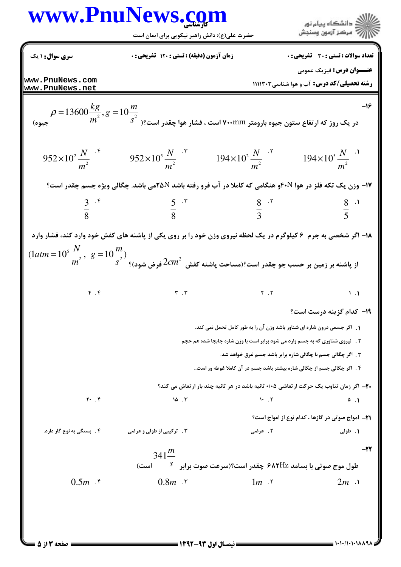## www.PnuNews.com .<br>||ک دانشگاه پیام نور<br>||> مرکز آزمون وسنجش حضرت علی(ع): دانش راهبر نیکویی برای ایمان است

**تعداد سوالات : تستي : 30 - تشريحي : 0 سری سوال : ۱ یک** زمان آزمون (دقيقه) : تستى ; 120 تشريحي ; . **عنـــوان درس:** فيزيک عمومي www.PnuNews.com **رشته تحصیلی/کد درس:** آب و هوا شناسی۱۱۱۱۳۰۳ www.PnuNews.net  $\rho$  در یک روز که ارتفاع ستون جیوه بارومتر ۷۰۰mm است ، فشار هوا چقدر است؟ر  $\frac{kg}{m^2}, g = 10 \frac{m}{s^2}$ جیوه)  $-19$  $952\times10^{2} \frac{N}{m^{2}}$  <sup>\*</sup>  $952\times10^{5} \frac{N}{m^{2}}$  \*  $194\times10^{2} \frac{N}{m^{2}}$  \*  $194\times10^{5} \frac{N}{m^{2}}$  \* **۱۷- وزن یک تکه فلز در هوا ۴۰**Nو هنگامی که کاملا در آب فرو رفته باشد ۲۵Nمی باشد. چگالی ویژه جسم چقدر است؟  $rac{5}{8}$   $\cdot$   $\cdot$  $\frac{8}{2}$  .  $\frac{8}{2}$  $\frac{3}{8}$  .  $^{\circ}$  $\frac{8}{5}$  . ۱۸- اگر شخصی به جرم ۶ کیلوگرم در یک لحظه نیروی وزن خود را بر روی یکی از پاشنه های کفش خود وارد کند، فشار وارد  $(1atm=10^5 \frac{N}{m^2}, g=10 \frac{m}{s^2})$ از پاشنه بر زمین بر حسب جو چقدر است؟(مساحت یاشنه کفش $2cm^2$  فر ض شود)؟  $F.$  $\mathbf{r}$ . $\mathbf{r}$  $Y \times Y$  $\mathcal{L}$ . **۱۹- کدام گزینه درست است**؟ 1. اگر جسمی درون شاره ای شناور باشد وزن آن را به طور کامل تحمل نمی کند. ۲ . آنیروی شناوری که به جسم وارد می شود برابر است با وزن شاره جابجا شده هم حجم ۳ . اگر چگالی جسم با چگالی شاره برابر باشد جسم غرق خواهد شد. ۴ . اگر چگالی جسم از چگالی شاره بیشتر باشد جسم در آن کاملا غوطه ور است.. **.۲-** اگر زمان تناوب یک حرکت ارتعاشی ۰/۰۵ ثانیه باشد در هر ثانیه چند بار ارتعاش می کند؟  $Y \cdot . \cdot$  $10.7$  $1.7$  $\Delta$ . **٢١**- امواج صوتي در گازها ، كدام نوع از امواج است؟ ۴. بستگی به نوع گاز دارد. ۰۳ ترکیبی از طولی و عرضی ۲. عرضی ١. طولي  $-11$  $341 \frac{m}{m}$ طول موج صوتی با بسامد ۶۸۲Hz چقدر است؟(سرعت صوت برابر گا ست)  $0.5m$  . f  $0.8m$   $\cdot$   $\cdot$  $1m$   $\gamma$  $2m \lambda$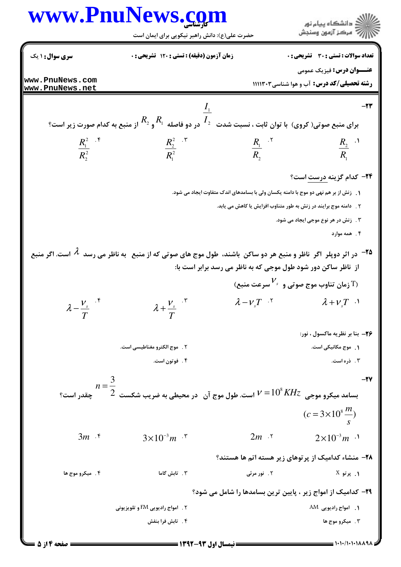

= نیمسال اول ۹۳-۱۳۹۲ =

صفحه ۱۴ز ۵ =